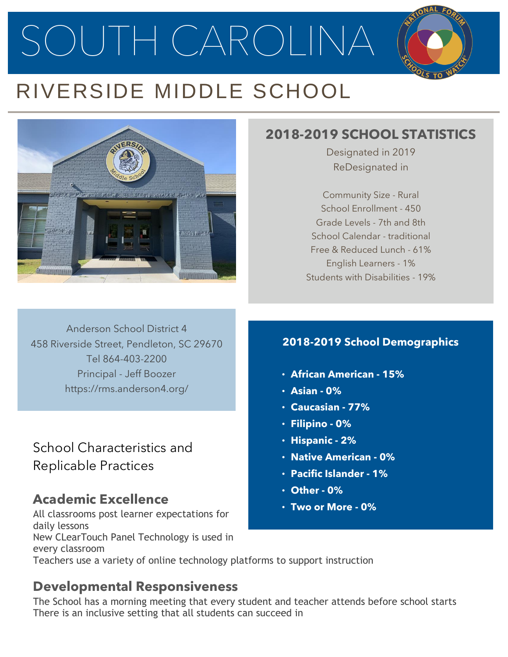SOUTH CAROLINA

# RIVERSIDE MIDDLE SCHOOL



### **2018-2019 SCHOOL STATISTICS**

Designated in 2019 ReDesignated in

Community Size - Rural School Enrollment - 450 Grade Levels - 7th and 8th School Calendar - traditional Free & Reduced Lunch - 61% English Learners - 1% Students with Disabilities - 19%

Anderson School District 4 458 Riverside Street, Pendleton, SC 29670 Tel 864-403-2200 Principal - Jeff Boozer https://rms.anderson4.org/

School Characteristics and Replicable Practices

## **Academic Excellence**

All classrooms post learner expectations for daily lessons New CLearTouch Panel Technology is used in every classroom Teachers use a variety of online technology platforms to support instruction

### **Developmental Responsiveness**

The School has a morning meeting that every student and teacher attends before school starts There is an inclusive setting that all students can succeed in

#### **2018-2019 School Demographics**

- **African American - 15%**
- **Asian - 0%**
- **Caucasian - 77%**
- **Filipino - 0%**
- **Hispanic - 2%**
- **Native American - 0%**
- **Pacific Islander - 1%**
- **Other - 0%**
- **Two or More - 0%**